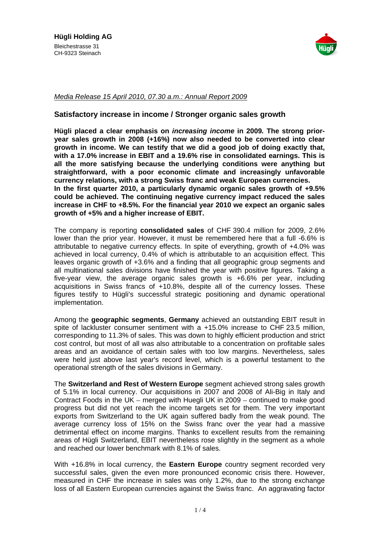

## Media Release 15 April 2010, 07.30 a.m.: Annual Report 2009

## **Satisfactory increase in income / Stronger organic sales growth**

**Hügli placed a clear emphasis on increasing income in 2009. The strong prior year sales growth in 2008 (+16%) now also needed to be converted into clear growth in income. We can testify that we did a good job of doing exactlythat, with a 17.0% increase in EBIT and a 19.6% rise in consolidated earnings. This is all the more satisfying because the underlying conditions were anything but straightforward, with a poor economic climate and increasingly unfavorable currency relations, with a strong Swiss franc and weak European currencies. In the first quarter 2010, a particularly dynamic organic sales growth of +9.5% could be achieved. The continuing negative currency impact reduced the sales increase in CHF to +8.5%. For the financial year 2010 we expect an organic sales growth of +5% and a higher increase of EBIT.**

The company is reporting **consolidated sales** of CHF 390.4 million for 2009, 2.6% lower than the prior year. However, it must be remembered here that a full -6.6% is attributable to negative currency effects. In spite of everything, growth of +4.0% was achieved in local currency, 0.4% of which is attributable to an acquisition effect. This leaves organic growth of +3.6% and a finding that all geographic group segments and all multinational sales divisions have finished the year with positive figures. Taking a five-year view, the average organic sales growth is +6.6% per year, including acquisitions in Swiss francs of +10.8%, despite all of the currency losses. These figures testify to Hügli's successful strategic positioning and dynamic operational implementation.

Among the **geographic segments**, **Germany** achieved an outstanding EBIT result in spite of lackluster consumer sentiment with a +15.0% increase to CHF 23.5 million, corresponding to 11.3% of sales. This was down to highly efficient production and strict cost control, but most of all was also attributable to a concentration on profitable sales areas and an avoidance of certain sales with too low margins. Nevertheless, sales were held just above last year's record level, which is a powerful testament to the operational strength of the sales divisions in Germany.

The **Switzerland and Rest of Western Europe** segment achieved strong sales growth of 5.1% in local currency. Our acquisitions in 2007 and 2008 of Ali-Big in Italy and Contract Foods in the UK - merged with Huegli UK in 2009 - continued to make good progress but did not yet reach the income targets set for them. The very important exports from Switzerland to the UK again suffered badly from the weak pound. The average currency loss of 15% on the Swiss franc over the year had a massive detrimental effect on income margins. Thanks to excellent results from the remaining areas of Hügli Switzerland, EBIT nevertheless rose slightly in the segment as a whole and reached our lower benchmark with 8.1% of sales.

With +16.8% in local currency, the **Eastern Europe** country segment recorded very successful sales, given the even more pronounced economic crisis there. However, measured in CHF the increase in sales wasonly 1.2%, due to the strong exchange loss of all Eastern European currencies against the Swiss franc. An aggravating factor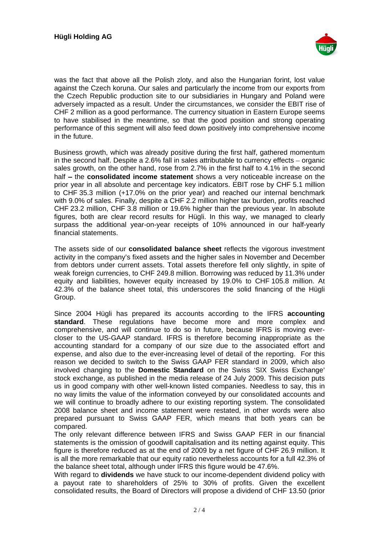

was the fact that above all the Polish zloty, and also the Hungarian forint, lost value against the Czech koruna. Our sales and particularly the income from our exports from the Czech Republic production site to our subsidiaries in Hungary and Poland were adversely impacted as a result. Under the circumstances, we consider the EBIT rise of CHF 2 million as a good performance. The currency situation in Eastern Europe seems to have stabilised in the meantime, so that the good position and strong operating performance of this segment will also feed down positively into comprehensive income in the future.

Business growth, which was already positive during the first half, gathered momentum in the second half. Despite a  $2.6\%$  fall in sales attributable to currency effects  $-$  organic sales growth, on the other hand, rose from 2.7% in the first half to 4.1% in the second half the **consolidated income statement** shows a very noticeable increase on the prior year in all absolute and percentage key indicators. EBIT rose by CHF 5.1 million to CHF 35.3 million (+17.0% on the prior year) and reached our internal benchmark with 9.0% of sales. Finally, despite a CHF 2.2 million higher tax burden, profits reached CHF 23.2 million, CHF 3.8 million or 19.6% higher than the previous year. In absolute figures, both are clear record results for Hügli. In this way, we managed to clearly surpass the additional year-on-year receipts of 10% announced in our half-yearly financial statements.

The assets side of our **consolidated balance sheet** reflects the vigorous investment activity in the company's fixed assets and the higher sales in November and December from debtors under current assets. Total assets therefore fell only slightly, in spite of weak foreign currencies, to CHF 249.8 million. Borrowing was reduced by 11.3% under equity and liabilities, however equity increased by 19.0% to CHF 105.8 million. At 42.3% of the balance sheet total, this underscores the solid financing of the Hügli Group.

Since 2004 Hügli has prepared its accounts according to the IFRS **accounting standard**. These regulations have become more and more complex and comprehensive, and will continue to do so in future, because IFRS is moving ever closer to the US-GAAP standard. IFRS is therefore becoming inappropriate as the accounting standard for a company of our size due to the associated effort and expense, and also due to the ever-increasing level of detail of the reporting. For this reason we decided to switch to the Swiss GAAP FER standard in 2009, which also involved changing to the **Domestic Standard** on the Swiss 'SIX Swiss Exchange' stock exchange, as published in the media release of 24 July 2009. This decision puts us in good company with other well-known listed companies. Needless to say, this in no way limits the value of the information conveyed by our consolidated accounts and we will continue to broadly adhere to our existing reporting system. The consolidated 2008 balance sheet and income statement were restated, in other words were also prepared pursuant to Swiss GAAP FER, which means that both years can be compared. The compared of the compared of the compared of the compared of the compared of the compared of the compared of the compared of the compared of the compared of the compared of the compared of the compared of the

The only relevant difference between IFRS and Swiss GAAP FER in our financial statements is the omission of goodwill capitalisation and its netting against equity. This figure is therefore reduced as at the end of 2009 by a net figure of CHF 26.9 million. It is all the more remarkable that our equity ratio nevertheless accounts for a full 42.3% of the balance sheet total, although under IFRS this figure would be 47.6%.

With regard to **dividends** we have stuck to our income-dependent dividend policy with a payout rate to shareholders of 25% to 30% of profits. Given the excellent consolidated results, the Board of Directors will propose a dividend of CHF 13.50 (prior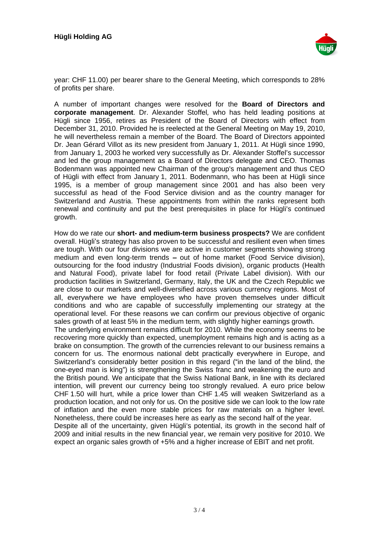

year: CHF 11.00) per bearer share to the General Meeting, which corresponds to 28% of profits per share.

A number of important changes were resolved for the **Board of Directors and corporate management**. Dr. Alexander Stoffel, who has held leading positions at Hügli since 1956, retires as President of the Board of Directors with effect from December 31, 2010. Provided he is reelected at the General Meeting on May 19, 2010, he will nevertheless remain a member of the Board. The Board of Directors appointed Dr. Jean Gérard Villot as its new president from January 1, 2011. At Hügli since 1990, from January 1, 2003 he worked very successfully as Dr. Alexander Stoffel's successor and led the group management as a Board of Directors delegate and CEO. Thomas Bodenmann was appointed new Chairman of the group's management and thus CEO of Hügli with effect from January 1, 2011. Bodenmann, who has been at Hügli since 1995, is a member of group management since 2001 and has also been very successful as head of the Food Service division and as the country manager for Switzerland and Austria. These appointments from within the ranks represent both renewal and continuity and put the best prerequisites in place for Hügli's continued growth.

How do we rate our **short- and medium-term business prospects?** We are confident overall. Hügli's strategy has also proven to be successful and resilient even when times are tough. With our four divisions we are active in customer segments showing strong medium and even long-term trends - out of home market (Food Service division), outsourcing for the food industry (Industrial Foods division), organic products (Health and Natural Food), private label for food retail (Private Label division). With our production facilities in Switzerland, Germany, Italy, the UK and the Czech Republic we are close to our markets and well-diversified across various currency regions. Most of all, everywhere we have employees who have proven themselves under difficult conditions and who are capable of successfully implementing our strategy at the operational level. For these reasons we can confirm our previous objective of organic sales growth of at least 5% in the medium term, with slightly higher earnings growth. The underlying environment remains difficult for 2010. While the economy seems to be

recovering more quickly than expected, unemployment remains high and is acting as a brake on consumption. The growth of the currencies relevant to our business remains a concern for us. The enormous national debt practically everywhere in Europe, and Switzerland's considerably better position in this regard ("in the land of the blind, the one-eyed man is king") is strengthening the Swiss franc and weakening the euro and the British pound. We anticipate that the Swiss National Bank, in line with its declared intention, will prevent our currency being too strongly revalued. A euro price below CHF 1.50 will hurt, while a price lower than CHF 1.45 will weaken Switzerland as a production location, and not only for us. On the positive side we can look to the low rate of inflation and the even more stable prices for raw materials on a higher level. Nonetheless, there could be increases here as early as the second half of the year. Despite all of the uncertainty, given Hügli's potential, its growth in the second half of 2009 and initial results in the new financial year, we remain very positive for 2010. We